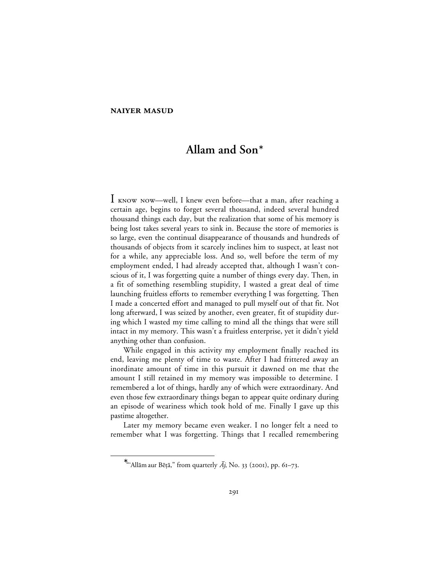# **NAIYER MASUD**

# **Allam and Son**<sup>∗</sup>

I know now—well, I knew even before—that a man, after reaching a certain age, begins to forget several thousand, indeed several hundred thousand things each day, but the realization that some of his memory is being lost takes several years to sink in. Because the store of memories is so large, even the continual disappearance of thousands and hundreds of thousands of objects from it scarcely inclines him to suspect, at least not for a while, any appreciable loss. And so, well before the term of my employment ended, I had already accepted that, although I wasn't conscious of it, I was forgetting quite a number of things every day. Then, in a fit of something resembling stupidity, I wasted a great deal of time launching fruitless efforts to remember everything I was forgetting. Then I made a concerted effort and managed to pull myself out of that fit. Not long afterward, I was seized by another, even greater, fit of stupidity during which I wasted my time calling to mind all the things that were still intact in my memory. This wasn't a fruitless enterprise, yet it didn't yield anything other than confusion.

While engaged in this activity my employment finally reached its end, leaving me plenty of time to waste. After I had frittered away an inordinate amount of time in this pursuit it dawned on me that the amount I still retained in my memory was impossible to determine. I remembered a lot of things, hardly any of which were extraordinary. And even those few extraordinary things began to appear quite ordinary during an episode of weariness which took hold of me. Finally I gave up this pastime altogether.

Later my memory became even weaker. I no longer felt a need to remember what I was forgetting. Things that I recalled remembering

 $*$ <sup>\*</sup>"Allām aur Bēṭā," from quarterly  $\bar{A}$ j, No. 33 (2001), pp. 61–73.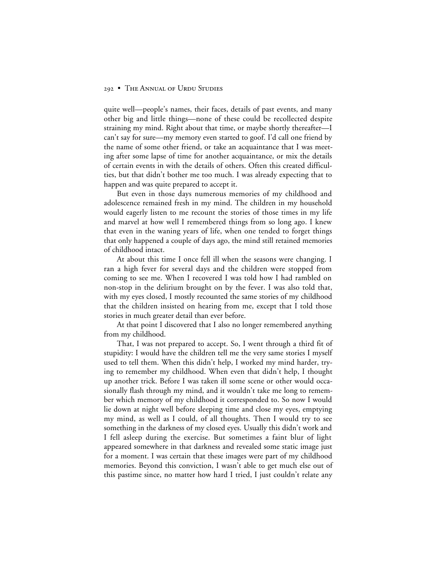quite well—people's names, their faces, details of past events, and many other big and little things—none of these could be recollected despite straining my mind. Right about that time, or maybe shortly thereafter—I can't say for sure—my memory even started to goof. I'd call one friend by the name of some other friend, or take an acquaintance that I was meeting after some lapse of time for another acquaintance, or mix the details of certain events in with the details of others. Often this created difficulties, but that didn't bother me too much. I was already expecting that to happen and was quite prepared to accept it.

But even in those days numerous memories of my childhood and adolescence remained fresh in my mind. The children in my household would eagerly listen to me recount the stories of those times in my life and marvel at how well I remembered things from so long ago. I knew that even in the waning years of life, when one tended to forget things that only happened a couple of days ago, the mind still retained memories of childhood intact.

At about this time I once fell ill when the seasons were changing. I ran a high fever for several days and the children were stopped from coming to see me. When I recovered I was told how I had rambled on non-stop in the delirium brought on by the fever. I was also told that, with my eyes closed, I mostly recounted the same stories of my childhood that the children insisted on hearing from me, except that I told those stories in much greater detail than ever before.

At that point I discovered that I also no longer remembered anything from my childhood.

That, I was not prepared to accept. So, I went through a third fit of stupidity: I would have the children tell me the very same stories I myself used to tell them. When this didn't help, I worked my mind harder, trying to remember my childhood. When even that didn't help, I thought up another trick. Before I was taken ill some scene or other would occasionally flash through my mind, and it wouldn't take me long to remember which memory of my childhood it corresponded to. So now I would lie down at night well before sleeping time and close my eyes, emptying my mind, as well as I could, of all thoughts. Then I would try to see something in the darkness of my closed eyes. Usually this didn't work and I fell asleep during the exercise. But sometimes a faint blur of light appeared somewhere in that darkness and revealed some static image just for a moment. I was certain that these images were part of my childhood memories. Beyond this conviction, I wasn't able to get much else out of this pastime since, no matter how hard I tried, I just couldn't relate any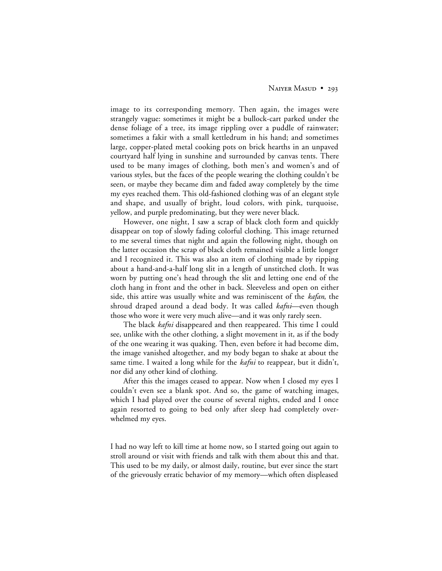image to its corresponding memory. Then again, the images were strangely vague: sometimes it might be a bullock-cart parked under the dense foliage of a tree, its image rippling over a puddle of rainwater; sometimes a fakir with a small kettledrum in his hand; and sometimes large, copper-plated metal cooking pots on brick hearths in an unpaved courtyard half lying in sunshine and surrounded by canvas tents. There used to be many images of clothing, both men's and women's and of various styles, but the faces of the people wearing the clothing couldn't be seen, or maybe they became dim and faded away completely by the time my eyes reached them. This old-fashioned clothing was of an elegant style and shape, and usually of bright, loud colors, with pink, turquoise, yellow, and purple predominating, but they were never black.

However, one night, I saw a scrap of black cloth form and quickly disappear on top of slowly fading colorful clothing. This image returned to me several times that night and again the following night, though on the latter occasion the scrap of black cloth remained visible a little longer and I recognized it. This was also an item of clothing made by ripping about a hand-and-a-half long slit in a length of unstitched cloth. It was worn by putting one's head through the slit and letting one end of the cloth hang in front and the other in back. Sleeveless and open on either side, this attire was usually white and was reminiscent of the *kafan*, the shroud draped around a dead body. It was called *kafni*—even though those who wore it were very much alive—and it was only rarely seen.

The black *kafni* disappeared and then reappeared. This time I could see, unlike with the other clothing, a slight movement in it, as if the body of the one wearing it was quaking. Then, even before it had become dim, the image vanished altogether, and my body began to shake at about the same time. I waited a long while for the *kafni* to reappear, but it didn't, nor did any other kind of clothing.

After this the images ceased to appear. Now when I closed my eyes I couldn't even see a blank spot. And so, the game of watching images, which I had played over the course of several nights, ended and I once again resorted to going to bed only after sleep had completely overwhelmed my eyes.

I had no way left to kill time at home now, so I started going out again to stroll around or visit with friends and talk with them about this and that. This used to be my daily, or almost daily, routine, but ever since the start of the grievously erratic behavior of my memory—which often displeased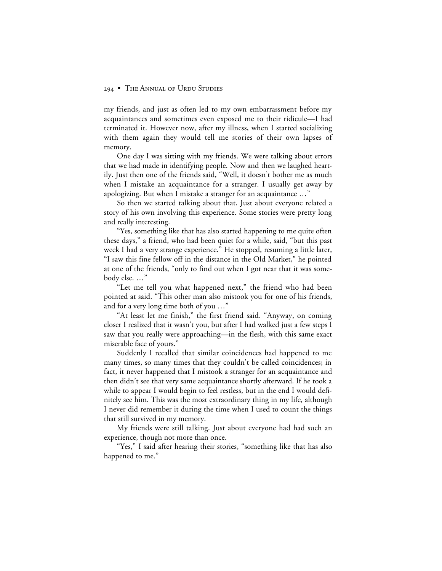my friends, and just as often led to my own embarrassment before my acquaintances and sometimes even exposed me to their ridicule—I had terminated it. However now, after my illness, when I started socializing with them again they would tell me stories of their own lapses of memory.

One day I was sitting with my friends. We were talking about errors that we had made in identifying people. Now and then we laughed heartily. Just then one of the friends said, "Well, it doesn't bother me as much when I mistake an acquaintance for a stranger. I usually get away by apologizing. But when I mistake a stranger for an acquaintance …"

So then we started talking about that. Just about everyone related a story of his own involving this experience. Some stories were pretty long and really interesting.

"Yes, something like that has also started happening to me quite often these days," a friend, who had been quiet for a while, said, "but this past week I had a very strange experience." He stopped, resuming a little later, "I saw this fine fellow off in the distance in the Old Market," he pointed at one of the friends, "only to find out when I got near that it was somebody else. …"

"Let me tell you what happened next," the friend who had been pointed at said. "This other man also mistook you for one of his friends, and for a very long time both of you …"

"At least let me finish," the first friend said. "Anyway, on coming closer I realized that it wasn't you, but after I had walked just a few steps I saw that you really were approaching—in the flesh, with this same exact miserable face of yours."

Suddenly I recalled that similar coincidences had happened to me many times, so many times that they couldn't be called coincidences; in fact, it never happened that I mistook a stranger for an acquaintance and then didn't see that very same acquaintance shortly afterward. If he took a while to appear I would begin to feel restless, but in the end I would definitely see him. This was the most extraordinary thing in my life, although I never did remember it during the time when I used to count the things that still survived in my memory.

My friends were still talking. Just about everyone had had such an experience, though not more than once.

"Yes," I said after hearing their stories, "something like that has also happened to me."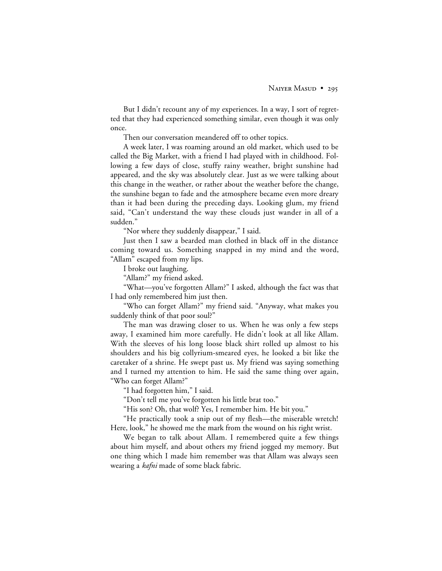But I didn't recount any of my experiences. In a way, I sort of regretted that they had experienced something similar, even though it was only once.

Then our conversation meandered off to other topics.

A week later, I was roaming around an old market, which used to be called the Big Market, with a friend I had played with in childhood. Following a few days of close, stuffy rainy weather, bright sunshine had appeared, and the sky was absolutely clear. Just as we were talking about this change in the weather, or rather about the weather before the change, the sunshine began to fade and the atmosphere became even more dreary than it had been during the preceding days. Looking glum, my friend said, "Can't understand the way these clouds just wander in all of a sudden."

"Nor where they suddenly disappear," I said.

Just then I saw a bearded man clothed in black off in the distance coming toward us. Something snapped in my mind and the word, "Allam" escaped from my lips.

I broke out laughing.

"Allam?" my friend asked.

"What—you've forgotten Allam?" I asked, although the fact was that I had only remembered him just then.

"Who can forget Allam?" my friend said. "Anyway, what makes you suddenly think of that poor soul?"

The man was drawing closer to us. When he was only a few steps away, I examined him more carefully. He didn't look at all like Allam. With the sleeves of his long loose black shirt rolled up almost to his shoulders and his big collyrium-smeared eyes, he looked a bit like the caretaker of a shrine. He swept past us. My friend was saying something and I turned my attention to him. He said the same thing over again, "Who can forget Allam?"

"I had forgotten him," I said.

"Don't tell me you've forgotten his little brat too."

"His son? Oh, that wolf? Yes, I remember him. He bit you."

"He practically took a snip out of my flesh—the miserable wretch! Here, look," he showed me the mark from the wound on his right wrist.

We began to talk about Allam. I remembered quite a few things about him myself, and about others my friend jogged my memory. But one thing which I made him remember was that Allam was always seen wearing a *kafni* made of some black fabric.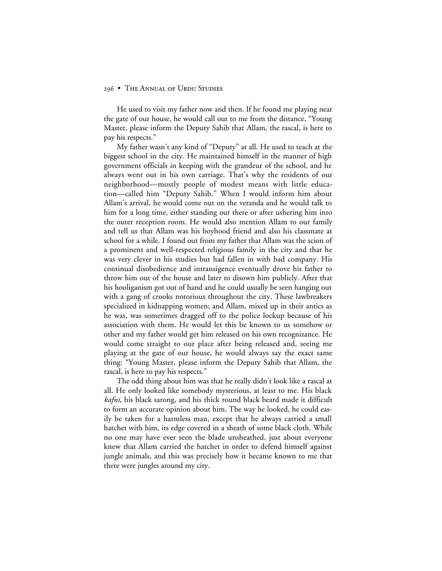He used to visit my father now and then. If he found me playing near the gate of our house, he would call out to me from the distance, "Young Master, please inform the Deputy Sahib that Allam, the rascal, is here to pay his respects."

My father wasn't any kind of "Deputy" at all. He used to teach at the biggest school in the city. He maintained himself in the manner of high government officials in keeping with the grandeur of the school, and he always went out in his own carriage. That's why the residents of our neighborhood—mostly people of modest means with little education—called him "Deputy Sahib." When I would inform him about Allam's arrival, he would come out on the veranda and he would talk to him for a long time, either standing out there or after ushering him into the outer reception room. He would also mention Allam to our family and tell us that Allam was his boyhood friend and also his classmate at school for a while. I found out from my father that Allam was the scion of a prominent and well-respected religious family in the city and that he was very clever in his studies but had fallen in with bad company. His continual disobedience and intransigence eventually drove his father to throw him out of the house and later to disown him publicly. After that his hooliganism got out of hand and he could usually be seen hanging out with a gang of crooks notorious throughout the city. These lawbreakers specialized in kidnapping women; and Allam, mixed up in their antics as he was, was sometimes dragged off to the police lockup because of his association with them. He would let this be known to us somehow or other and my father would get him released on his own recognizance. He would come straight to our place after being released and, seeing me playing at the gate of our house, he would always say the exact same thing: "Young Master, please inform the Deputy Sahib that Allam, the rascal, is here to pay his respects."

The odd thing about him was that he really didn't look like a rascal at all. He only looked like somebody mysterious, at least to me. His black *kafni*, his black sarong, and his thick round black beard made it difficult to form an accurate opinion about him. The way he looked, he could easily be taken for a harmless man, except that he always carried a small hatchet with him, its edge covered in a sheath of some black cloth. While no one may have ever seen the blade unsheathed, just about everyone knew that Allam carried the hatchet in order to defend himself against jungle animals, and this was precisely how it became known to me that there were jungles around my city.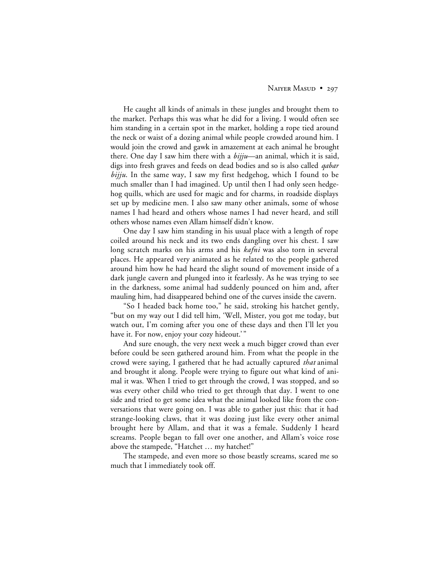He caught all kinds of animals in these jungles and brought them to the market. Perhaps this was what he did for a living. I would often see him standing in a certain spot in the market, holding a rope tied around the neck or waist of a dozing animal while people crowded around him. I would join the crowd and gawk in amazement at each animal he brought there. One day I saw him there with a *bijju*—an animal, which it is said, digs into fresh graves and feeds on dead bodies and so is also called *qabar bijju*. In the same way, I saw my first hedgehog, which I found to be much smaller than I had imagined. Up until then I had only seen hedgehog quills, which are used for magic and for charms, in roadside displays set up by medicine men. I also saw many other animals, some of whose names I had heard and others whose names I had never heard, and still others whose names even Allam himself didn't know.

One day I saw him standing in his usual place with a length of rope coiled around his neck and its two ends dangling over his chest. I saw long scratch marks on his arms and his *kafni* was also torn in several places. He appeared very animated as he related to the people gathered around him how he had heard the slight sound of movement inside of a dark jungle cavern and plunged into it fearlessly. As he was trying to see in the darkness, some animal had suddenly pounced on him and, after mauling him, had disappeared behind one of the curves inside the cavern.

"So I headed back home too," he said, stroking his hatchet gently, "but on my way out I did tell him, 'Well, Mister, you got me today, but watch out, I'm coming after you one of these days and then I'll let you have it. For now, enjoy your cozy hideout.'"

And sure enough, the very next week a much bigger crowd than ever before could be seen gathered around him. From what the people in the crowd were saying, I gathered that he had actually captured *that* animal and brought it along. People were trying to figure out what kind of animal it was. When I tried to get through the crowd, I was stopped, and so was every other child who tried to get through that day. I went to one side and tried to get some idea what the animal looked like from the conversations that were going on. I was able to gather just this: that it had strange-looking claws, that it was dozing just like every other animal brought here by Allam, and that it was a female. Suddenly I heard screams. People began to fall over one another, and Allam's voice rose above the stampede, "Hatchet … my hatchet!"

The stampede, and even more so those beastly screams, scared me so much that I immediately took off.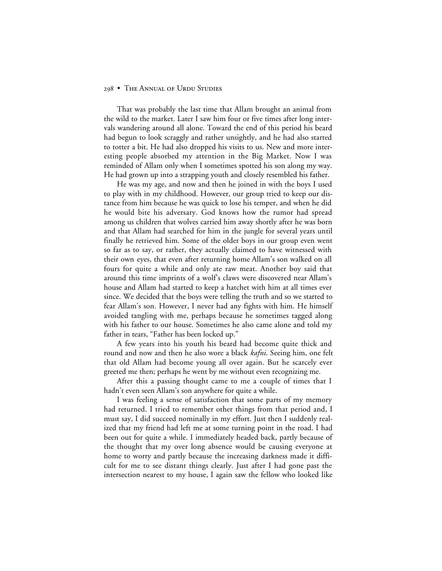That was probably the last time that Allam brought an animal from the wild to the market. Later I saw him four or five times after long intervals wandering around all alone. Toward the end of this period his beard had begun to look scraggly and rather unsightly, and he had also started to totter a bit. He had also dropped his visits to us. New and more interesting people absorbed my attention in the Big Market. Now I was reminded of Allam only when I sometimes spotted his son along my way. He had grown up into a strapping youth and closely resembled his father.

He was my age, and now and then he joined in with the boys I used to play with in my childhood. However, our group tried to keep our distance from him because he was quick to lose his temper, and when he did he would bite his adversary. God knows how the rumor had spread among us children that wolves carried him away shortly after he was born and that Allam had searched for him in the jungle for several years until finally he retrieved him. Some of the older boys in our group even went so far as to say, or rather, they actually claimed to have witnessed with their own eyes, that even after returning home Allam's son walked on all fours for quite a while and only ate raw meat. Another boy said that around this time imprints of a wolf's claws were discovered near Allam's house and Allam had started to keep a hatchet with him at all times ever since. We decided that the boys were telling the truth and so we started to fear Allam's son. However, I never had any fights with him. He himself avoided tangling with me, perhaps because he sometimes tagged along with his father to our house. Sometimes he also came alone and told my father in tears, "Father has been locked up."

A few years into his youth his beard had become quite thick and round and now and then he also wore a black *kafni*. Seeing him, one felt that old Allam had become young all over again. But he scarcely ever greeted me then; perhaps he went by me without even recognizing me.

After this a passing thought came to me a couple of times that I hadn't even seen Allam's son anywhere for quite a while.

I was feeling a sense of satisfaction that some parts of my memory had returned. I tried to remember other things from that period and, I must say, I did succeed nominally in my effort. Just then I suddenly realized that my friend had left me at some turning point in the road. I had been out for quite a while. I immediately headed back, partly because of the thought that my over long absence would be causing everyone at home to worry and partly because the increasing darkness made it difficult for me to see distant things clearly. Just after I had gone past the intersection nearest to my house, I again saw the fellow who looked like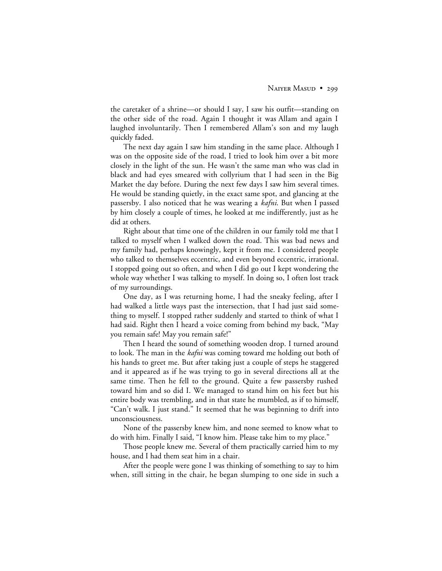the caretaker of a shrine—or should I say, I saw his outfit—standing on the other side of the road. Again I thought it was Allam and again I laughed involuntarily. Then I remembered Allam's son and my laugh quickly faded.

The next day again I saw him standing in the same place. Although I was on the opposite side of the road, I tried to look him over a bit more closely in the light of the sun. He wasn't the same man who was clad in black and had eyes smeared with collyrium that I had seen in the Big Market the day before. During the next few days I saw him several times. He would be standing quietly, in the exact same spot, and glancing at the passersby. I also noticed that he was wearing a *kafni*. But when I passed by him closely a couple of times, he looked at me indifferently, just as he did at others.

Right about that time one of the children in our family told me that I talked to myself when I walked down the road. This was bad news and my family had, perhaps knowingly, kept it from me. I considered people who talked to themselves eccentric, and even beyond eccentric, irrational. I stopped going out so often, and when I did go out I kept wondering the whole way whether I was talking to myself. In doing so, I often lost track of my surroundings.

One day, as I was returning home, I had the sneaky feeling, after I had walked a little ways past the intersection, that I had just said something to myself. I stopped rather suddenly and started to think of what I had said. Right then I heard a voice coming from behind my back, "May you remain safe! May you remain safe!"

Then I heard the sound of something wooden drop. I turned around to look. The man in the *kafni* was coming toward me holding out both of his hands to greet me. But after taking just a couple of steps he staggered and it appeared as if he was trying to go in several directions all at the same time. Then he fell to the ground. Quite a few passersby rushed toward him and so did I. We managed to stand him on his feet but his entire body was trembling, and in that state he mumbled, as if to himself, "Can't walk. I just stand." It seemed that he was beginning to drift into unconsciousness.

None of the passersby knew him, and none seemed to know what to do with him. Finally I said, "I know him. Please take him to my place."

Those people knew me. Several of them practically carried him to my house, and I had them seat him in a chair.

After the people were gone I was thinking of something to say to him when, still sitting in the chair, he began slumping to one side in such a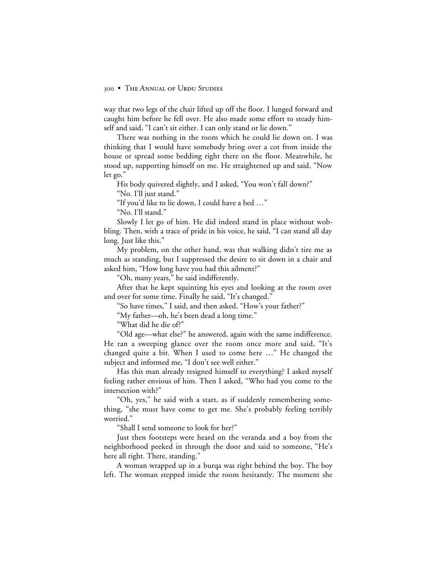way that two legs of the chair lifted up off the floor. I lunged forward and caught him before he fell over. He also made some effort to steady himself and said, "I can't sit either. I can only stand or lie down."

There was nothing in the room which he could lie down on. I was thinking that I would have somebody bring over a cot from inside the house or spread some bedding right there on the floor. Meanwhile, he stood up, supporting himself on me. He straightened up and said, "Now let go."

His body quivered slightly, and I asked, "You won't fall down?"

"No. I'll just stand."

"If you'd like to lie down, I could have a bed …"

"No. I'll stand."

Slowly I let go of him. He did indeed stand in place without wobbling. Then, with a trace of pride in his voice, he said, "I can stand all day long. Just like this."

My problem, on the other hand, was that walking didn't tire me as much as standing, but I suppressed the desire to sit down in a chair and asked him, "How long have you had this ailment?"

"Oh, many years," he said indifferently.

After that he kept squinting his eyes and looking at the room over and over for some time. Finally he said, "It's changed."

"So have times," I said, and then asked, "How's your father?"

"My father—oh, he's been dead a long time."

"What did he die of?"

"Old age—what else?" he answered, again with the same indifference. He ran a sweeping glance over the room once more and said, "It's changed quite a bit. When I used to come here …" He changed the subject and informed me, "I don't see well either."

Has this man already resigned himself to everything? I asked myself feeling rather envious of him. Then I asked, "Who had you come to the intersection with?"

"Oh, yes," he said with a start, as if suddenly remembering something, "she must have come to get me. She's probably feeling terribly worried."

"Shall I send someone to look for her?"

Just then footsteps were heard on the veranda and a boy from the neighborhood peeked in through the door and said to someone, "He's here all right. There, standing.

A woman wrapped up in a burqa was right behind the boy. The boy left. The woman stepped inside the room hesitantly. The moment she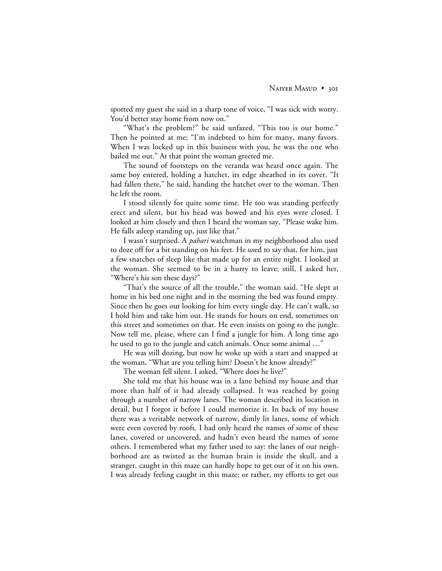spotted my guest she said in a sharp tone of voice, "I was sick with worry. You'd better stay home from now on."

"What's the problem?" he said unfazed. "This too is our home." Then he pointed at me; "I'm indebted to him for many, many favors. When I was locked up in this business with you, he was the one who bailed me out." At that point the woman greeted me.

The sound of footsteps on the veranda was heard once again. The same boy entered, holding a hatchet, its edge sheathed in its cover. "It had fallen there," he said, handing the hatchet over to the woman. Then he left the room.

I stood silently for quite some time. He too was standing perfectly erect and silent, but his head was bowed and his eyes were closed. I looked at him closely and then I heard the woman say, "Please wake him. He falls asleep standing up, just like that."

I wasn't surprised. A *pahari* watchman in my neighborhood also used to doze off for a bit standing on his feet. He used to say that, for him, just a few snatches of sleep like that made up for an entire night. I looked at the woman. She seemed to be in a hurry to leave; still, I asked her, "Where's his son these days?"

"That's the source of all the trouble," the woman said. "He slept at home in his bed one night and in the morning the bed was found empty. Since then he goes out looking for him every single day. He can't walk, so I hold him and take him out. He stands for hours on end, sometimes on this street and sometimes on that. He even insists on going to the jungle. Now tell me, please, where can I find a jungle for him. A long time ago he used to go to the jungle and catch animals. Once some animal …"

He was still dozing, but now he woke up with a start and snapped at the woman, "What are you telling him? Doesn't he know already?"

The woman fell silent. I asked, "Where does he live?"

She told me that his house was in a lane behind my house and that more than half of it had already collapsed. It was reached by going through a number of narrow lanes. The woman described its location in detail, but I forgot it before I could memorize it. In back of my house there was a veritable network of narrow, dimly lit lanes, some of which were even covered by roofs. I had only heard the names of some of these lanes, covered or uncovered, and hadn't even heard the names of some others. I remembered what my father used to say: the lanes of our neighborhood are as twisted as the human brain is inside the skull, and a stranger, caught in this maze can hardly hope to get out of it on his own. I was already feeling caught in this maze; or rather, my efforts to get out